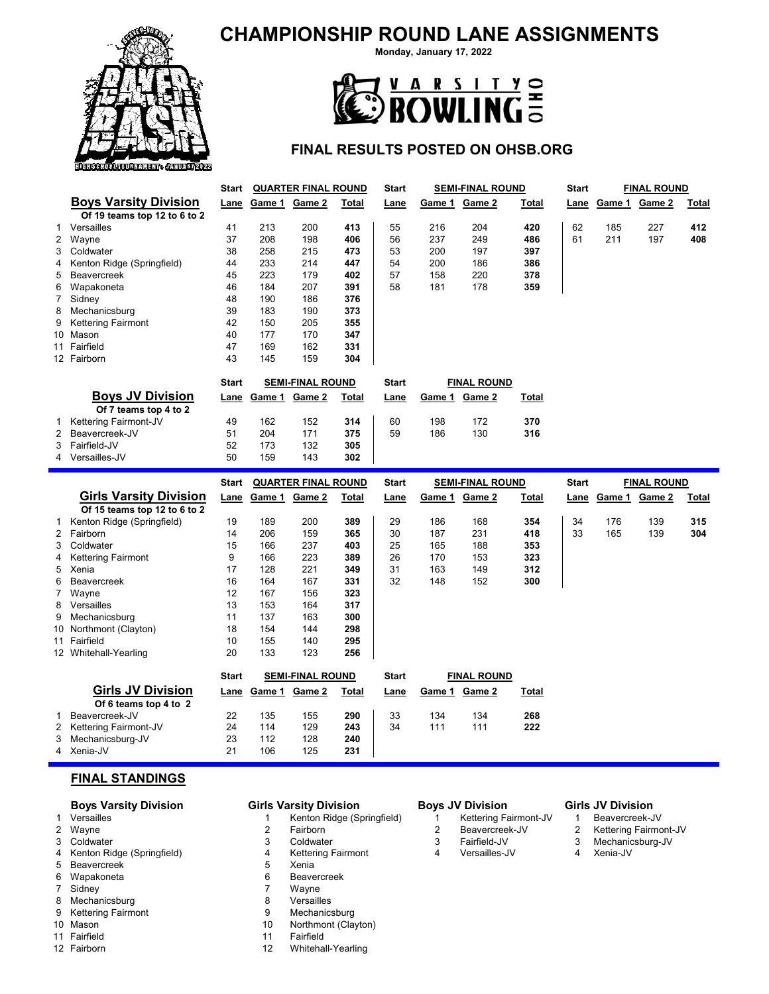# **CHAMPIONSHIP ROUND LANE ASSIGNMENTS**



**Monday, January 17, 2022**



## **FINAL RESULTS POSTED ON OHSB.ORG**

|                     |                                                   | Start        |        | <b>QUARTER FINAL ROUND</b> |            | Start        |        | <b>SEMI-FINAL ROUND</b> |       | Start        |        | <b>FINAL ROUND</b> |              |
|---------------------|---------------------------------------------------|--------------|--------|----------------------------|------------|--------------|--------|-------------------------|-------|--------------|--------|--------------------|--------------|
|                     | <b>Boys Varsity Division</b>                      | Lane         |        | Game 1 Game 2              | Total      | Lane         | Game 1 | Game 2                  | Total | Lane         | Game 1 | Game 2             | Total        |
|                     | Of 19 teams top 12 to 6 to 2                      |              |        |                            |            |              |        |                         |       |              |        |                    |              |
| 1                   | Versailles                                        | 41           | 213    | 200                        | 413        | 55           | 216    | 204                     | 420   | 62           | 185    | 227                | 412          |
|                     | 2 Wayne                                           | 37           | 208    | 198                        | 406        | 56           | 237    | 249                     | 486   | 61           | 211    | 197                | 408          |
| 3                   | Coldwater                                         | 38           | 258    | 215                        | 473        | 53           | 200    | 197                     | 397   |              |        |                    |              |
| 4                   | Kenton Ridge (Springfield)                        | 44           | 233    | 214                        | 447        | 54           | 200    | 186                     | 386   |              |        |                    |              |
| 5                   | Beavercreek                                       | 45           | 223    | 179                        | 402        | 57           | 158    | 220                     | 378   |              |        |                    |              |
| 6                   | Wapakoneta                                        | 46           | 184    | 207                        | 391        | 58           | 181    | 178                     | 359   |              |        |                    |              |
| 7                   | Sidney                                            | 48           | 190    | 186                        | 376        |              |        |                         |       |              |        |                    |              |
| 8                   | Mechanicsburg                                     | 39           | 183    | 190                        | 373        |              |        |                         |       |              |        |                    |              |
| 9                   | <b>Kettering Fairmont</b>                         | 42           | 150    | 205                        | 355        |              |        |                         |       |              |        |                    |              |
|                     | 10 Mason                                          | 40           | 177    | 170                        | 347        |              |        |                         |       |              |        |                    |              |
|                     | 11 Fairfield                                      | 47           | 169    | 162                        | 331        |              |        |                         |       |              |        |                    |              |
|                     | 12 Fairborn                                       | 43           | 145    | 159                        | 304        |              |        |                         |       |              |        |                    |              |
|                     |                                                   |              |        |                            |            |              |        |                         |       |              |        |                    |              |
|                     | <b>Boys JV Division</b>                           | <b>Start</b> |        | <b>SEMI-FINAL ROUND</b>    |            | <b>Start</b> |        | <b>FINAL ROUND</b>      |       |              |        |                    |              |
|                     | Of 7 teams top 4 to 2                             | Lane         | Game 1 | Game 2                     | Total      | Lane         |        | Game 1 Game 2           | Total |              |        |                    |              |
|                     | Kettering Fairmont-JV                             | 49           | 162    | 152                        |            | 60           | 198    | 172                     | 370   |              |        |                    |              |
| 1<br>$\overline{2}$ | Beavercreek-JV                                    | 51           | 204    | 171                        | 314<br>375 | 59           | 186    | 130                     | 316   |              |        |                    |              |
|                     |                                                   |              |        |                            |            |              |        |                         |       |              |        |                    |              |
|                     |                                                   |              |        |                            |            |              |        |                         |       |              |        |                    |              |
| 3                   | Fairfield-JV                                      | 52           | 173    | 132                        | 305        |              |        |                         |       |              |        |                    |              |
|                     | 4 Versailles-JV                                   | 50           | 159    | 143                        | 302        |              |        |                         |       |              |        |                    |              |
|                     |                                                   | Start        |        | <b>QUARTER FINAL ROUND</b> |            | <b>Start</b> |        | <b>SEMI-FINAL ROUND</b> |       | <b>Start</b> |        | <b>FINAL ROUND</b> |              |
|                     | <b>Girls Varsity Division</b>                     | Lane         | Game 1 | Game 2                     | Total      | Lane         | Game 1 | Game 2                  | Total | Lane         | Game 1 | Game 2             | <b>Total</b> |
|                     | Of 15 teams top 12 to 6 to 2                      |              |        |                            |            |              |        |                         |       |              |        |                    |              |
| 1                   | Kenton Ridge (Springfield)                        | 19           | 189    | 200                        | 389        | 29           | 186    | 168                     | 354   | 34           | 176    | 139                | 315          |
| $\overline{2}$      | Fairborn                                          | 14           | 206    | 159                        | 365        | 30           | 187    | 231                     | 418   | 33           | 165    | 139                | 304          |
| 3                   | Coldwater                                         | 15           | 166    | 237                        | 403        | 25           | 165    | 188                     | 353   |              |        |                    |              |
| 4                   | <b>Kettering Fairmont</b>                         | 9            | 166    | 223                        | 389        | 26           | 170    | 153                     | 323   |              |        |                    |              |
| 5                   | Xenia                                             | 17           | 128    | 221                        | 349        | 31           | 163    | 149                     | 312   |              |        |                    |              |
| 6                   | Beavercreek                                       | 16           | 164    | 167                        | 331        | 32           | 148    | 152                     | 300   |              |        |                    |              |
| 7                   | Wayne                                             | 12           | 167    | 156                        | 323        |              |        |                         |       |              |        |                    |              |
| 8                   | Versailles                                        | 13           | 153    | 164                        | 317        |              |        |                         |       |              |        |                    |              |
| 9                   | Mechanicsburg                                     | 11           | 137    | 163                        | 300        |              |        |                         |       |              |        |                    |              |
|                     | 10 Northmont (Clayton)                            | 18           | 154    | 144                        | 298        |              |        |                         |       |              |        |                    |              |
|                     | 11 Fairfield                                      | 10           | 155    | 140                        | 295        |              |        |                         |       |              |        |                    |              |
|                     | 12 Whitehall-Yearling                             | 20           | 133    | 123                        | 256        |              |        |                         |       |              |        |                    |              |
|                     |                                                   |              |        |                            |            |              |        |                         |       |              |        |                    |              |
|                     |                                                   | <b>Start</b> |        | <b>SEMI-FINAL ROUND</b>    |            | <b>Start</b> |        | <b>FINAL ROUND</b>      |       |              |        |                    |              |
|                     | <b>Girls JV Division</b><br>Of 6 teams top 4 to 2 | Lane         | Game 1 | Game 2                     | Total      | Lane         | Game 1 | Game 2                  | Total |              |        |                    |              |

1 Beavercreek-JV 22 135 155 **290** 33 134 134 **268**

2 Kettering Fairmont-JV 24 114 129 **243** 34 111 111 **222** 3 Mechanicsburg-JV

4 Xenia-JV 21 106 125 **231**

F

### **FINAL STANDINGS**

# **Boys Varsity Division Girls Varsity Division Boys JV Division Girls JV Division**<br>Versailles 1 Beavercreek-J' 1 Beavercreek-J'

- 
- 
- 
- 4 Kenton Ridge (Springfield) 4 Kettering Fairmont 4 Versailles-JV 4 Xenia-JV 5 Beavercreek
- 
- Sidney
- 8 Mechanicsburg 8 Versailles
- 9 Kettering Fairmont 9 Mechanicsburg<br>10 Mason 10 Morthmont (Clay
- 
- 11 Fairfield 11 Fairfield
- 

- 1 Versailles 1 Kenton Ridge (Springfield) 1 Kettering Fairmont-JV 1 Beavercreek-JV
	-
	-
- 3 Coldwater 3 Coldwater 3 Fairfield-JV 3 Mechanicsburg-JV<br>3 Fairfield-JV 3 Mechanicsburg-JV<br>4 Kenton Ridge (Springfield) 4 Kettering Fairmont 4 Versailles-JV 4 Xenia-JV
	-
	-
- 6 Wapakoneta 6 Beavercreek
	-
	-
	- Northmont (Clayton)
	-
	- Whitehall-Yearling

- 
- 
- 
- 

- 
- Kettering Fairmont-JV
- 
-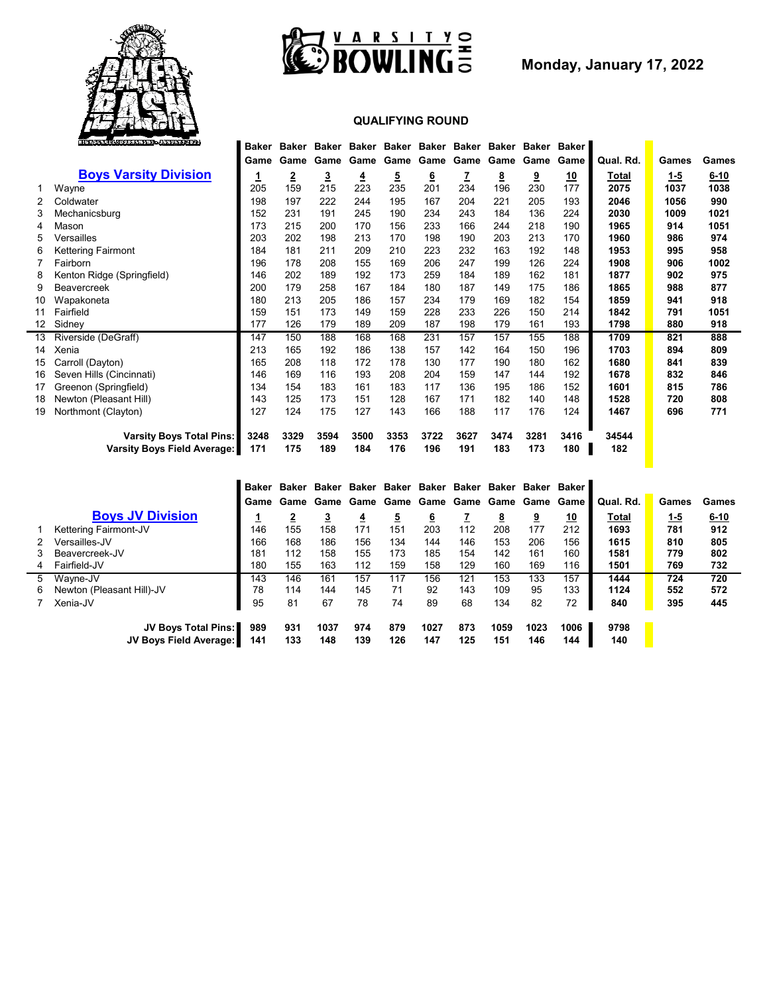



**Monday, January 17, 2022**

## **QUALIFYING ROUND**

|    | KIBROLARRAJUBBASHENI SOKAURBIZBZZ  | Baker | Baker |                         |      |      |          |      | Baker Baker Baker Baker Baker Baker | Baker    | Baker     |           |         |          |
|----|------------------------------------|-------|-------|-------------------------|------|------|----------|------|-------------------------------------|----------|-----------|-----------|---------|----------|
|    |                                    | Game  | Game  | Game                    | Game | Game | Game     | Game | Game                                | Game     | Game      | Qual. Rd. | Games   | Games    |
|    | <b>Boys Varsity Division</b>       |       | 2     | $\overline{\mathbf{3}}$ | 4    | 5    | <u>6</u> | z    | <u>8</u>                            | <u>9</u> | <u>10</u> | Total     | $1 - 5$ | $6 - 10$ |
|    | Wayne                              | 205   | 159   | 215                     | 223  | 235  | 201      | 234  | 196                                 | 230      | 177       | 2075      | 1037    | 1038     |
| 2  | Coldwater                          | 198   | 197   | 222                     | 244  | 195  | 167      | 204  | 221                                 | 205      | 193       | 2046      | 1056    | 990      |
| 3  | Mechanicsburg                      | 152   | 231   | 191                     | 245  | 190  | 234      | 243  | 184                                 | 136      | 224       | 2030      | 1009    | 1021     |
|    | Mason                              | 173   | 215   | 200                     | 170  | 156  | 233      | 166  | 244                                 | 218      | 190       | 1965      | 914     | 1051     |
| 5  | Versailles                         | 203   | 202   | 198                     | 213  | 170  | 198      | 190  | 203                                 | 213      | 170       | 1960      | 986     | 974      |
| 6  | Kettering Fairmont                 | 184   | 181   | 211                     | 209  | 210  | 223      | 232  | 163                                 | 192      | 148       | 1953      | 995     | 958      |
|    | Fairborn                           | 196   | 178   | 208                     | 155  | 169  | 206      | 247  | 199                                 | 126      | 224       | 1908      | 906     | 1002     |
| 8  | Kenton Ridge (Springfield)         | 146   | 202   | 189                     | 192  | 173  | 259      | 184  | 189                                 | 162      | 181       | 1877      | 902     | 975      |
| 9  | <b>Beavercreek</b>                 | 200   | 179   | 258                     | 167  | 184  | 180      | 187  | 149                                 | 175      | 186       | 1865      | 988     | 877      |
| 10 | Wapakoneta                         | 180   | 213   | 205                     | 186  | 157  | 234      | 179  | 169                                 | 182      | 154       | 1859      | 941     | 918      |
| 11 | Fairfield                          | 159   | 151   | 173                     | 149  | 159  | 228      | 233  | 226                                 | 150      | 214       | 1842      | 791     | 1051     |
| 12 | Sidney                             | 177   | 126   | 179                     | 189  | 209  | 187      | 198  | 179                                 | 161      | 193       | 1798      | 880     | 918      |
| 13 | Riverside (DeGraff)                | 147   | 150   | 188                     | 168  | 168  | 231      | 157  | 157                                 | 155      | 188       | 1709      | 821     | 888      |
| 14 | Xenia                              | 213   | 165   | 192                     | 186  | 138  | 157      | 142  | 164                                 | 150      | 196       | 1703      | 894     | 809      |
| 15 | Carroll (Dayton)                   | 165   | 208   | 118                     | 172  | 178  | 130      | 177  | 190                                 | 180      | 162       | 1680      | 841     | 839      |
| 16 | Seven Hills (Cincinnati)           | 146   | 169   | 116                     | 193  | 208  | 204      | 159  | 147                                 | 144      | 192       | 1678      | 832     | 846      |
| 17 | Greenon (Springfield)              | 134   | 154   | 183                     | 161  | 183  | 117      | 136  | 195                                 | 186      | 152       | 1601      | 815     | 786      |
| 18 | Newton (Pleasant Hill)             | 143   | 125   | 173                     | 151  | 128  | 167      | 171  | 182                                 | 140      | 148       | 1528      | 720     | 808      |
| 19 | Northmont (Clayton)                | 127   | 124   | 175                     | 127  | 143  | 166      | 188  | 117                                 | 176      | 124       | 1467      | 696     | 771      |
|    | <b>Varsity Boys Total Pins:</b>    | 3248  | 3329  | 3594                    | 3500 | 3353 | 3722     | 3627 | 3474                                | 3281     | 3416      | 34544     |         |          |
|    | <b>Varsity Boys Field Average:</b> | 171   | 175   | 189                     | 184  | 176  | 196      | 191  | 183                                 | 173      | 180       | 182       |         |          |
|    |                                    |       |       |                         |      |      |          |      |                                     |          |           |           |         |          |

|   |                               | Baker | Baker |          | Baker Baker Baker |          |          |     | Baker Baker Baker |      | <b>Baker Baker</b> |              |            |       |
|---|-------------------------------|-------|-------|----------|-------------------|----------|----------|-----|-------------------|------|--------------------|--------------|------------|-------|
|   |                               | Game  |       |          |                   |          |          |     |                   |      |                    | Qual. Rd.    | Games      | Games |
|   | <b>Boys JV Division</b>       |       |       | <u>3</u> | ₹                 | <u>5</u> | <u>6</u> |     | <u>8</u>          | 9    | <u>10</u>          | <u>Total</u> | <u>1-5</u> | 6-10  |
|   | Kettering Fairmont-JV         | 146   | 155   | 158      | 171               | 151      | 203      | 112 | 208               | 177  | 212                | 1693         | 781        | 912   |
| 2 | Versailles-JV                 | 166   | 168   | 186      | 156               | 134      | 144      | 146 | 153               | 206  | 156                | 1615         | 810        | 805   |
| 3 | Beavercreek-JV                | 181   | 112   | 158      | 155               | 173      | 185      | 154 | 142               | 161  | 160                | 1581         | 779        | 802   |
| 4 | Fairfield-JV                  | 180   | 155   | 163      | 112               | 159      | 158      | 129 | 160               | 169  | 116                | 1501         | 769        | 732   |
| 5 | Wayne-JV                      | 143   | 146   | 161      | 157               | 117      | 156      | 121 | 153               | 133  | 157                | 1444         | 724        | 720   |
| 6 | Newton (Pleasant Hill)-JV     | 78    | 114   | 144      | 145               | 71       | 92       | 143 | 109               | 95   | 133                | 1124         | 552        | 572   |
|   | Xenia-JV                      | 95    | 81    | 67       | 78                | 74       | 89       | 68  | 134               | 82   | 72                 | 840          | 395        | 445   |
|   | JV Boys Total Pins:           | 989   | 931   | 1037     | 974               | 879      | 1027     | 873 | 1059              | 1023 | 1006               | 9798         |            |       |
|   | <b>JV Boys Field Average:</b> | 141   | 133   | 148      | 139               | 126      | 147      | 125 | 151               | 146  | 144                | 140          |            |       |